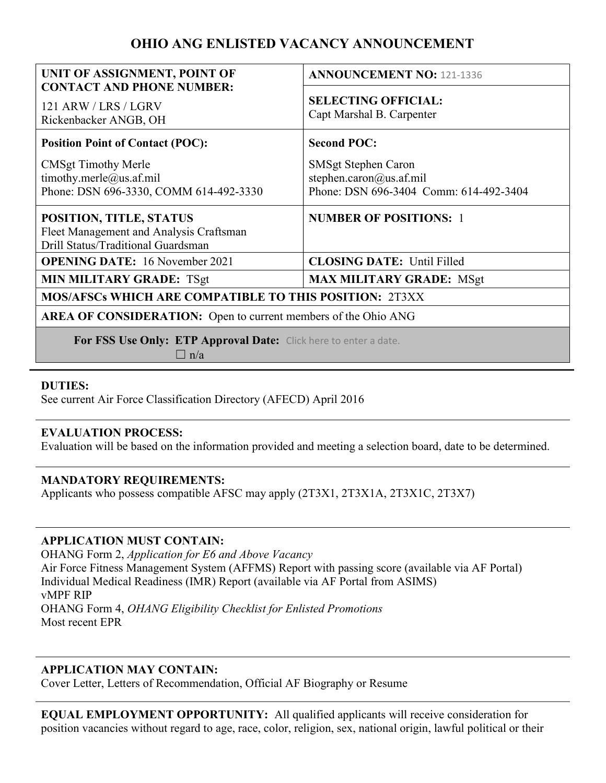# OHIO ANG ENLISTED VACANCY ANNOUNCEMENT

| UNIT OF ASSIGNMENT, POINT OF                                                                             | <b>ANNOUNCEMENT NO: 121-1336</b>                                                         |
|----------------------------------------------------------------------------------------------------------|------------------------------------------------------------------------------------------|
| <b>CONTACT AND PHONE NUMBER:</b><br>121 ARW / LRS / LGRV<br>Rickenbacker ANGB, OH                        | <b>SELECTING OFFICIAL:</b><br>Capt Marshal B. Carpenter                                  |
| <b>Position Point of Contact (POC):</b>                                                                  | <b>Second POC:</b>                                                                       |
| <b>CMSgt Timothy Merle</b><br>timothy.merle@us.af.mil<br>Phone: DSN 696-3330, COMM 614-492-3330          | SMSgt Stephen Caron<br>stephen.caron@us.af.mil<br>Phone: DSN 696-3404 Comm: 614-492-3404 |
| POSITION, TITLE, STATUS<br>Fleet Management and Analysis Craftsman<br>Drill Status/Traditional Guardsman | <b>NUMBER OF POSITIONS: 1</b>                                                            |
| <b>OPENING DATE:</b> 16 November 2021                                                                    | <b>CLOSING DATE: Until Filled</b>                                                        |
| <b>MIN MILITARY GRADE: TSgt</b>                                                                          | <b>MAX MILITARY GRADE: MSgt</b>                                                          |
| <b>MOS/AFSCs WHICH ARE COMPATIBLE TO THIS POSITION: 2T3XX</b>                                            |                                                                                          |
| <b>AREA OF CONSIDERATION:</b> Open to current members of the Ohio ANG                                    |                                                                                          |
| For FSS Use Only: ETP Approval Date: Click here to enter a date.<br>$\Box$ n/a                           |                                                                                          |

### DUTIES:

See current Air Force Classification Directory (AFECD) April 2016

### EVALUATION PROCESS:

Evaluation will be based on the information provided and meeting a selection board, date to be determined.

### MANDATORY REQUIREMENTS:

Applicants who possess compatible AFSC may apply (2T3X1, 2T3X1A, 2T3X1C, 2T3X7)

### APPLICATION MUST CONTAIN:

OHANG Form 2, Application for E6 and Above Vacancy Air Force Fitness Management System (AFFMS) Report with passing score (available via AF Portal) Individual Medical Readiness (IMR) Report (available via AF Portal from ASIMS) vMPF RIP OHANG Form 4, OHANG Eligibility Checklist for Enlisted Promotions Most recent EPR

## APPLICATION MAY CONTAIN:

Cover Letter, Letters of Recommendation, Official AF Biography or Resume

EQUAL EMPLOYMENT OPPORTUNITY: All qualified applicants will receive consideration for position vacancies without regard to age, race, color, religion, sex, national origin, lawful political or their